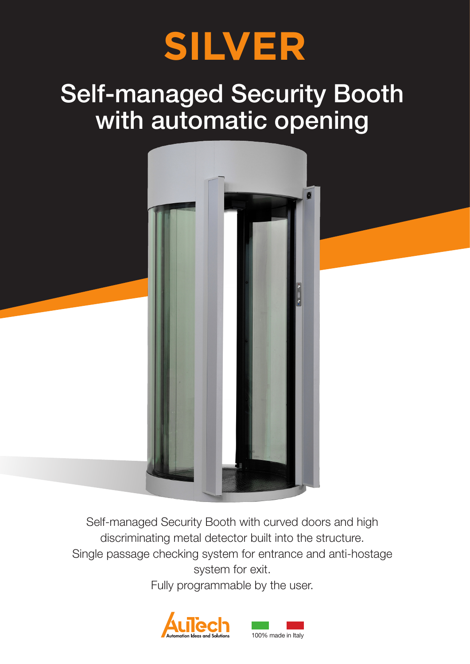

# Self-managed Security Booth with automatic opening



Self-managed Security Booth with curved doors and high discriminating metal detector built into the structure. Single passage checking system for entrance and anti-hostage system for exit.

Fully programmable by the user.

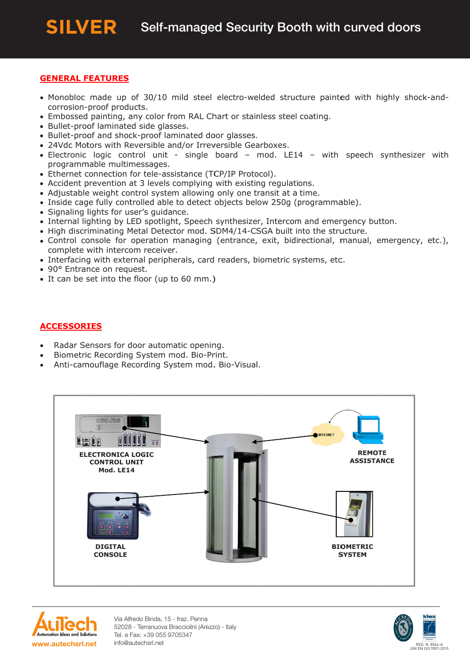# **GENERAL FEATURES**

- Monobloc made up of 30/10 mild steel electro-welded structure painted with highly shock-andcorrosion-proof products.
- Embossed painting, any color from RAL Chart or stainless steel coating.
- · Bullet-proof laminated side glasses.
- Bullet-proof and shock-proof laminated door glasses.
- 24Vdc Motors with Reversible and/or Irreversible Gearboxes.
- Electronic logic control unit single board mod. LE14 with speech synthesizer with programmable multimessages.
- Ethernet connection for tele-assistance (TCP/IP Protocol).
- Accident prevention at 3 levels complying with existing regulations.
- Adjustable weight control system allowing only one transit at a time.
- Inside cage fully controlled able to detect objects below 250g (programmable).
- · Signaling lights for user's guidance.
- Internal lighting by LED spotlight, Speech synthesizer, Intercom and emergency button.
- . High discriminating Metal Detector mod. SDM4/14-CSGA built into the structure.
- Control console for operation managing (entrance, exit, bidirectional, manual, emergency, etc.), complete with intercom receiver.
- Interfacing with external peripherals, card readers, biometric systems, etc.
- 90° Entrance on request.
- It can be set into the floor (up to 60 mm.)

# **ACCESSORIES**

- Radar Sensors for door automatic opening.  $\bullet$
- Biometric Recording System mod. Bio-Print.
- Anti-camouflage Recording System mod. Bio-Visual.





Via Alfredo Binda, 15 - fraz. Penna 52028 - Terranuova Bracciolini (Arezzo) - Italy Tel. e Fax: +39 055 9705347 info@autechsrl.net